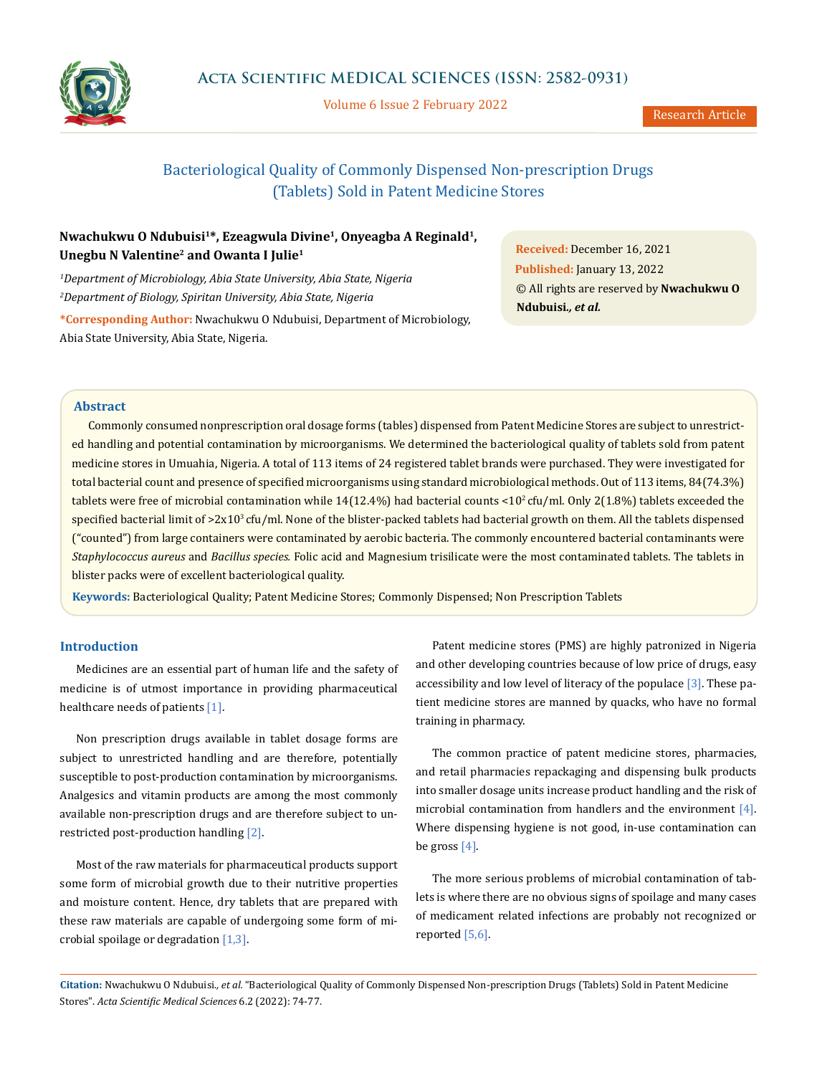

Volume 6 Issue 2 February 2022

# Bacteriological Quality of Commonly Dispensed Non-prescription Drugs (Tablets) Sold in Patent Medicine Stores

# **Nwachukwu O Ndubuisi1\*, Ezeagwula Divine1, Onyeagba A Reginald1, Unegbu N Valentine2 and Owanta I Julie1**

*1 Department of Microbiology, Abia State University, Abia State, Nigeria 2 Department of Biology, Spiritan University, Abia State, Nigeria* **\*Corresponding Author:** Nwachukwu O Ndubuisi, Department of Microbiology, Abia State University, Abia State, Nigeria.

**Received:** December 16, 2021 **Published:** January 13, 2022 © All rights are reserved by **Nwachukwu O Ndubuisi***., et al.*

#### **Abstract**

Commonly consumed nonprescription oral dosage forms (tables) dispensed from Patent Medicine Stores are subject to unrestricted handling and potential contamination by microorganisms. We determined the bacteriological quality of tablets sold from patent medicine stores in Umuahia, Nigeria. A total of 113 items of 24 registered tablet brands were purchased. They were investigated for total bacterial count and presence of specified microorganisms using standard microbiological methods. Out of 113 items, 84(74.3%) tablets were free of microbial contamination while  $14(12.4\%)$  had bacterial counts <10<sup>2</sup> cfu/ml. Only 2(1.8%) tablets exceeded the specified bacterial limit of >2x10<sup>3</sup> cfu/ml. None of the blister-packed tablets had bacterial growth on them. All the tablets dispensed ("counted") from large containers were contaminated by aerobic bacteria. The commonly encountered bacterial contaminants were *Staphylococcus aureus* and *Bacillus species.* Folic acid and Magnesium trisilicate were the most contaminated tablets. The tablets in blister packs were of excellent bacteriological quality.

**Keywords:** Bacteriological Quality; Patent Medicine Stores; Commonly Dispensed; Non Prescription Tablets

# **Introduction**

Medicines are an essential part of human life and the safety of medicine is of utmost importance in providing pharmaceutical healthcare needs of patients [1].

Non prescription drugs available in tablet dosage forms are subject to unrestricted handling and are therefore, potentially susceptible to post-production contamination by microorganisms. Analgesics and vitamin products are among the most commonly available non-prescription drugs and are therefore subject to unrestricted post-production handling [2].

Most of the raw materials for pharmaceutical products support some form of microbial growth due to their nutritive properties and moisture content. Hence, dry tablets that are prepared with these raw materials are capable of undergoing some form of microbial spoilage or degradation [1,3].

Patent medicine stores (PMS) are highly patronized in Nigeria and other developing countries because of low price of drugs, easy accessibility and low level of literacy of the populace [3]. These patient medicine stores are manned by quacks, who have no formal training in pharmacy.

The common practice of patent medicine stores, pharmacies, and retail pharmacies repackaging and dispensing bulk products into smaller dosage units increase product handling and the risk of microbial contamination from handlers and the environment [4]. Where dispensing hygiene is not good, in-use contamination can be gross  $[4]$ .

The more serious problems of microbial contamination of tablets is where there are no obvious signs of spoilage and many cases of medicament related infections are probably not recognized or reported [5,6].

**Citation:** Nwachukwu O Ndubuisi*., et al.* "Bacteriological Quality of Commonly Dispensed Non-prescription Drugs (Tablets) Sold in Patent Medicine Stores". *Acta Scientific Medical Sciences* 6.2 (2022): 74-77.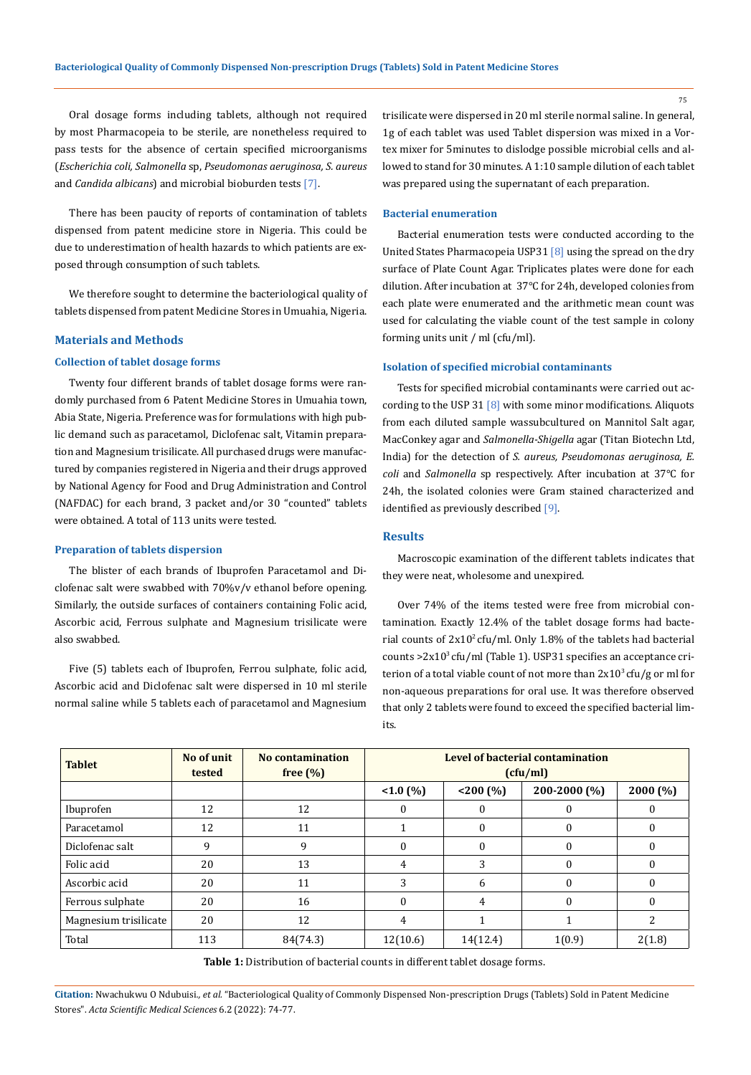Oral dosage forms including tablets, although not required by most Pharmacopeia to be sterile, are nonetheless required to pass tests for the absence of certain specified microorganisms (*Escherichia coli, Salmonella* sp, *Pseudomonas aeruginosa, S. aureus*  and *Candida albicans*) and microbial bioburden tests [7].

There has been paucity of reports of contamination of tablets dispensed from patent medicine store in Nigeria. This could be due to underestimation of health hazards to which patients are exposed through consumption of such tablets.

We therefore sought to determine the bacteriological quality of tablets dispensed from patent Medicine Stores in Umuahia, Nigeria.

#### **Materials and Methods**

#### **Collection of tablet dosage forms**

Twenty four different brands of tablet dosage forms were randomly purchased from 6 Patent Medicine Stores in Umuahia town, Abia State, Nigeria. Preference was for formulations with high public demand such as paracetamol, Diclofenac salt, Vitamin preparation and Magnesium trisilicate. All purchased drugs were manufactured by companies registered in Nigeria and their drugs approved by National Agency for Food and Drug Administration and Control (NAFDAC) for each brand, 3 packet and/or 30 "counted" tablets were obtained. A total of 113 units were tested.

#### **Preparation of tablets dispersion**

The blister of each brands of Ibuprofen Paracetamol and Diclofenac salt were swabbed with 70%v/v ethanol before opening. Similarly, the outside surfaces of containers containing Folic acid, Ascorbic acid, Ferrous sulphate and Magnesium trisilicate were also swabbed.

Five (5) tablets each of Ibuprofen, Ferrou sulphate, folic acid, Ascorbic acid and Diclofenac salt were dispersed in 10 ml sterile normal saline while 5 tablets each of paracetamol and Magnesium trisilicate were dispersed in 20 ml sterile normal saline. In general, 1g of each tablet was used Tablet dispersion was mixed in a Vortex mixer for 5minutes to dislodge possible microbial cells and allowed to stand for 30 minutes. A 1:10 sample dilution of each tablet was prepared using the supernatant of each preparation.

#### **Bacterial enumeration**

Bacterial enumeration tests were conducted according to the United States Pharmacopeia USP31 [8] using the spread on the dry surface of Plate Count Agar. Triplicates plates were done for each dilution. After incubation at 37°C for 24h, developed colonies from each plate were enumerated and the arithmetic mean count was used for calculating the viable count of the test sample in colony forming units unit / ml (cfu/ml).

#### **Isolation of specified microbial contaminants**

Tests for specified microbial contaminants were carried out according to the USP 31 [8] with some minor modifications. Aliquots from each diluted sample wassubcultured on Mannitol Salt agar, MacConkey agar and *Salmonella-Shigella* agar (Titan Biotechn Ltd, India) for the detection of *S. aureus, Pseudomonas aeruginosa, E. coli* and *Salmonella* sp respectively. After incubation at 37°C for 24h, the isolated colonies were Gram stained characterized and identified as previously described [9].

### **Results**

Macroscopic examination of the different tablets indicates that they were neat, wholesome and unexpired.

Over 74% of the items tested were free from microbial contamination. Exactly 12.4% of the tablet dosage forms had bacterial counts of  $2x10^2$  cfu/ml. Only 1.8% of the tablets had bacterial counts >2x103 cfu/ml (Table 1). USP31 specifies an acceptance criterion of a total viable count of not more than  $2x10^3$  cfu/g or ml for non-aqueous preparations for oral use. It was therefore observed that only 2 tablets were found to exceed the specified bacterial limits.

| <b>Tablet</b>         | No of unit<br>tested | <b>No contamination</b><br>free $(\% )$ | Level of bacterial contamination<br>(ctu/ml) |              |              |          |
|-----------------------|----------------------|-----------------------------------------|----------------------------------------------|--------------|--------------|----------|
|                       |                      |                                         | $<1.0\,(%$                                   | < 200 (%)    | 200-2000 (%) | 2000(%)  |
| Ibuprofen             | 12                   | 12                                      |                                              | $\Omega$     | $\Omega$     | $\Omega$ |
| Paracetamol           | 12                   | 11                                      |                                              | $\mathbf{0}$ | 0            | 0        |
| Diclofenac salt       | 9                    | 9                                       |                                              | $\Omega$     | $\theta$     | $\theta$ |
| Folic acid            | 20                   | 13                                      | 4                                            | 3            | $\Omega$     | $\Omega$ |
| Ascorbic acid         | 20                   | 11                                      | 3                                            | 6            | $\Omega$     | $\theta$ |
| Ferrous sulphate      | 20                   | 16                                      |                                              | 4            | $\Omega$     | $\Omega$ |
| Magnesium trisilicate | 20                   | 12                                      | 4                                            |              |              |          |
| Total                 | 113                  | 84(74.3)                                | 12(10.6)                                     | 14(12.4)     | 1(0.9)       | 2(1.8)   |

Table 1: Distribution of bacterial counts in different tablet dosage forms.

**Citation:** Nwachukwu O Ndubuisi*., et al.* "Bacteriological Quality of Commonly Dispensed Non-prescription Drugs (Tablets) Sold in Patent Medicine Stores". *Acta Scientific Medical Sciences* 6.2 (2022): 74-77.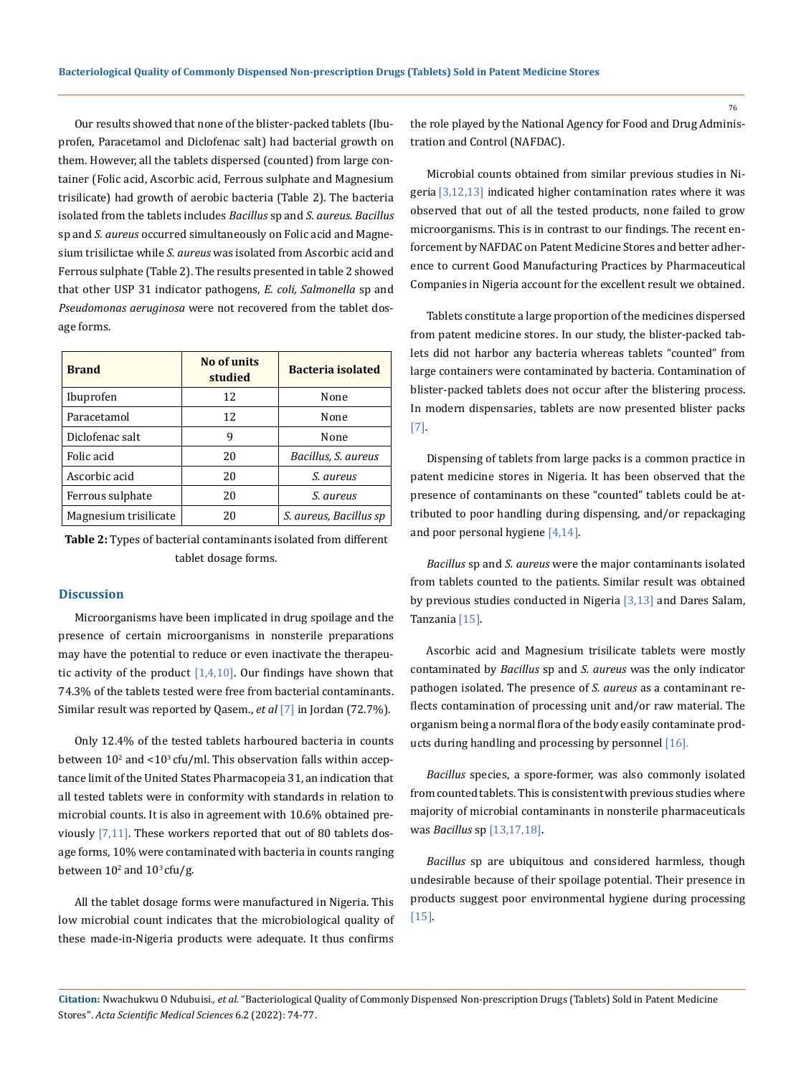Our results showed that none of the blister-packed tablets (Ibuprofen, Paracetamol and Diclofenac salt) had bacterial growth on them. However, all the tablets dispersed (counted) from large container (Folic acid, Ascorbic acid, Ferrous sulphate and Magnesium trisilicate) had growth of aerobic bacteria (Table 2). The bacteria isolated from the tablets includes *Bacillus* sp and *S. aureus. Bacillus* sp and *S. aureus* occurred simultaneously on Folic acid and Magnesium trisilictae while *S. aureus* was isolated from Ascorbic acid and Ferrous sulphate (Table 2). The results presented in table 2 showed that other USP 31 indicator pathogens, *E. coli, Salmonella* sp and *Pseudomonas aeruginosa* were not recovered from the tablet dosage forms.

| <b>Brand</b>          | No of units<br>studied | <b>Bacteria isolated</b> |  |
|-----------------------|------------------------|--------------------------|--|
| Ibuprofen             | 12                     | None                     |  |
| Paracetamol           | 12                     | None                     |  |
| Diclofenac salt       | 9                      | None                     |  |
| Folic acid            | 20                     | Bacillus, S. aureus      |  |
| Ascorbic acid         | 20                     | S. aureus                |  |
| Ferrous sulphate      | 20                     | S. aureus                |  |
| Magnesium trisilicate | 20                     | S. aureus, Bacillus sp   |  |

**Table 2:** Types of bacterial contaminants isolated from different tablet dosage forms.

#### **Discussion**

Microorganisms have been implicated in drug spoilage and the presence of certain microorganisms in nonsterile preparations may have the potential to reduce or even inactivate the therapeutic activity of the product  $[1,4,10]$ . Our findings have shown that 74.3% of the tablets tested were free from bacterial contaminants. Similar result was reported by Qasem., *et al* [7] in Jordan (72.7%).

Only 12.4% of the tested tablets harboured bacteria in counts between  $10^2$  and  $<$ 10<sup>3</sup> cfu/ml. This observation falls within acceptance limit of the United States Pharmacopeia 31, an indication that all tested tablets were in conformity with standards in relation to microbial counts. It is also in agreement with 10.6% obtained previously  $[7,11]$ . These workers reported that out of 80 tablets dosage forms, 10% were contaminated with bacteria in counts ranging between  $10^2$  and  $10^3$  cfu/g.

All the tablet dosage forms were manufactured in Nigeria. This low microbial count indicates that the microbiological quality of these made-in-Nigeria products were adequate. It thus confirms the role played by the National Agency for Food and Drug Administration and Control (NAFDAC).

Microbial counts obtained from similar previous studies in Nigeria [3,12,13] indicated higher contamination rates where it was observed that out of all the tested products, none failed to grow microorganisms. This is in contrast to our findings. The recent enforcement by NAFDAC on Patent Medicine Stores and better adherence to current Good Manufacturing Practices by Pharmaceutical Companies in Nigeria account for the excellent result we obtained.

Tablets constitute a large proportion of the medicines dispersed from patent medicine stores. In our study, the blister-packed tablets did not harbor any bacteria whereas tablets "counted" from large containers were contaminated by bacteria. Contamination of blister-packed tablets does not occur after the blistering process. In modern dispensaries, tablets are now presented blister packs [7].

Dispensing of tablets from large packs is a common practice in patent medicine stores in Nigeria. It has been observed that the presence of contaminants on these "counted" tablets could be attributed to poor handling during dispensing, and/or repackaging and poor personal hygiene [4,14].

*Bacillus* sp and *S. aureus* were the major contaminants isolated from tablets counted to the patients. Similar result was obtained by previous studies conducted in Nigeria [3,13] and Dares Salam, Tanzania [15].

Ascorbic acid and Magnesium trisilicate tablets were mostly contaminated by *Bacillus* sp and *S. aureus* was the only indicator pathogen isolated. The presence of *S. aureus* as a contaminant reflects contamination of processing unit and/or raw material. The organism being a normal flora of the body easily contaminate products during handling and processing by personnel [16].

*Bacillus* species, a spore-former, was also commonly isolated from counted tablets. This is consistent with previous studies where majority of microbial contaminants in nonsterile pharmaceuticals was *Bacillus* sp [13,17,18].

*Bacillus* sp are ubiquitous and considered harmless, though undesirable because of their spoilage potential. Their presence in products suggest poor environmental hygiene during processing [15].

**Citation:** Nwachukwu O Ndubuisi*., et al.* "Bacteriological Quality of Commonly Dispensed Non-prescription Drugs (Tablets) Sold in Patent Medicine Stores". *Acta Scientific Medical Sciences* 6.2 (2022): 74-77.

76